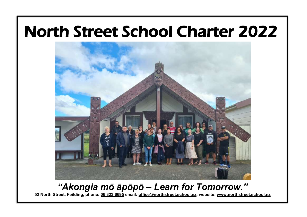# **North Street School Charter 2022**



#### "Akongia mō āpōpō - Learn for Tomorrow."

52 North Street, Feilding, phone: 06 323 6695 email: office@northstreet.school.nz, website: www.northstreet.school.nz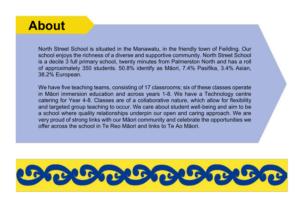# **About**

North Street School is situated in the Manawatu, in the friendly town of Feilding. Our school enjoys the richness of a diverse and supportive community. North Street School is a decile 3 full primary school, twenty minutes from Palmerston North and has a roll of approximately 350 students. 50.8% identify as Māori, 7.4% Pasifika, 3.4% Asian, 38.2% European.

We have five teaching teams, consisting of 17 classrooms; six of these classes operate in Māori immersion education and across years 1-8. We have a Technology centre catering for Year 4-8. Classes are of a collaborative nature, which allow for flexibility and targeted group teaching to occur. We care about student well-being and aim to be a school where quality relationships underpin our open and caring approach. We are very proud of strong links with our Māori community and celebrate the opportunities we offer across the school in Te Reo Maori and links to Te Ao Maori

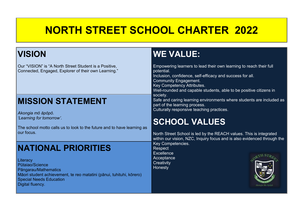## **NORTH STREET SCHOOL CHARTER 2022**

### **VISION**

Our "VISION" is "A North Street Student is a Positive. Connected, Engaged, Explorer of their own Learning."

#### **MISSION STATEMENT**

Akongia mō āpōpō. 'Learning for tomorrow'.

The school motto calls us to look to the future and to have learning as our focus

### **NATIONAL PRIORITIES**

Literacy Pūtajao/Science Pāngarau/Mathematics Māori student achievement, te reo matatini (pānui, tuhituhi, kōrero) **Special Needs Education** Digital fluency.

## **WE VALUE:**

Empowering learners to lead their own learning to reach their full potential. Inclusion, confidence, self-efficacy and success for all. **Community Engagement.** Key Competency Attributes. Well-rounded and capable students, able to be positive citizens in society. Safe and caring learning environments where students are included as part of the learning process. Culturally responsive teaching practices.

## **SCHOOL VALUES**

North Street School is led by the REACH values. This is integrated within our vision, NZC, Inquiry focus and is also evidenced through the **Key Competencies.** 

Respect **Excellence** Acceptance Creativity Honesty

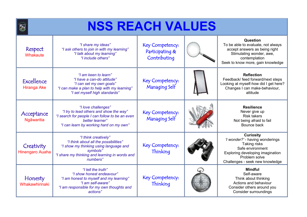# **NSS REACH VALUES**

| Respect<br>Whakaute                  | "I share my ideas"<br>"I ask others to join in with my learning"<br>"I talk about my learning"<br>"I include others"                                                              | Key Competency:<br>Participating &<br>Contributing | Question<br>To be able to evaluate, not always<br>accept answers as being right<br>Stimulating wonder, awe,<br>contemplation<br>Seek to know more, gain knowledge                      |
|--------------------------------------|-----------------------------------------------------------------------------------------------------------------------------------------------------------------------------------|----------------------------------------------------|----------------------------------------------------------------------------------------------------------------------------------------------------------------------------------------|
| Excellence<br>Hiranga Ake            | "I am keen to learn"<br>"I have a can-do attitude"<br>"I can set my own goals"<br>"I can make a plan to help with my learning"<br>"I set myself high standards"                   | Key Competency:<br>Managing Self                   | <b>Reflection</b><br>Feedback/ feed forward/next steps<br>Looking at myself-how did I get here?<br>Changes I can make-behaviour,<br>attitude                                           |
| Acceptance<br><b>Ngāwaritia</b>      | "I love challenges"<br>"I try to lead others and show the way"<br>"I search for people I can follow to be an even<br>better learner"<br>"I can learn by working hard on my own"   | Key Competency:<br>Managing Self                   | <b>Resilience</b><br>Never give up<br><b>Risk takers</b><br>Not being afraid to fail<br>Bounce back                                                                                    |
| Creativity<br><b>Hinengaro Auaha</b> | "I think creatively"<br>"I think about all the possibilities"<br>"I show my thinking using language and<br>symbols"<br>"I share my thinking and learning in words and<br>numbers" | Key Competency:<br>Thinking                        | <b>Curiosity</b><br>'I wonder?' - having wonderings<br><b>Taking risks</b><br>Safe environment<br>Exploring developing imagination<br>Problem solve<br>Challenges - seek new knowledge |
| Honesty<br>Whakawhirinaki            | "I tell the truth"<br>"I show honest endeavour"<br>"I am honest to myself and my learning"<br>"I am self-aware"<br>"I am responsible for my own thoughts and<br>actions"          | Key Competency:<br>Thinking                        | Mindful<br>Self-aware<br>Think about thinking<br>Actions and behaviour<br>Consider others around you<br>Consider surroundings                                                          |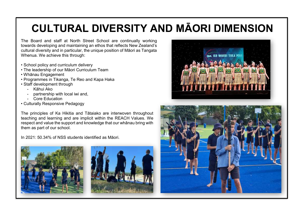## **CULTURAL DIVERSITY AND M ƖORI DIMENSION**

The Board and staff at North Street School are continually working towards developing and maintaining an ethos that reflects New Zealand's cultural diversity and in particular, the unique position of Maori as Tangata Whenua. We achieve this through:

- School policy and curriculum delivery
- The leadership of our Māori Curriculum Team
- Whānau Engagement
- Programmes in Tikanga, Te Reo and Kapa Haka
- Staff development through
	- Kāhui Ako
	- partnership with local iwi and,
	- Core Education
- Culturally Responsive Pedagogy

The principles of Ka Hikitia and Tātaiako are interwoven throughout teaching and learning and are implicit within the REACH Values. We respect and value the support and knowledge that our whānau bring with them as part of our school.

In 2021:  $50.34\%$  of NSS students identified as Maori.







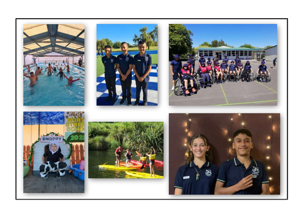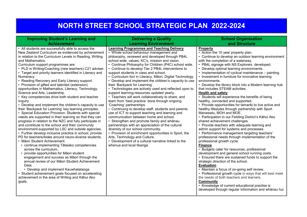#### **NORTH STREET SCHOOL STRATEGIC PLAN 2022-2024**

| <b>Improving Student's Learning and</b>                                                                                                                                                                                                                                                                                                                                                                                                                                                                                                                                                                                                                                                                                                                                                                                                                                                                                                                                                                                                                                                                                                                                                                                                                                                                                                                                                                                                                                                                                                                                                       | <b>Delivering a Quality</b>                                                                                                                                                                                                                                                                                                                                                                                                                                                                                                                                                                                                                                                                                                                                                                                                                                                                                                                                                                                                                                                                                                                                                                                                            | <b>School Organisation</b>                                                                                                                                                                                                                                                                                                                                                                                                                                                                                                                                                                                                                                                                                                                                                                                                                                                                                                                                                                                                                                                                                                                                                                                                                                                                                                                                                                                                                                                                                                                                                    |
|-----------------------------------------------------------------------------------------------------------------------------------------------------------------------------------------------------------------------------------------------------------------------------------------------------------------------------------------------------------------------------------------------------------------------------------------------------------------------------------------------------------------------------------------------------------------------------------------------------------------------------------------------------------------------------------------------------------------------------------------------------------------------------------------------------------------------------------------------------------------------------------------------------------------------------------------------------------------------------------------------------------------------------------------------------------------------------------------------------------------------------------------------------------------------------------------------------------------------------------------------------------------------------------------------------------------------------------------------------------------------------------------------------------------------------------------------------------------------------------------------------------------------------------------------------------------------------------------------|----------------------------------------------------------------------------------------------------------------------------------------------------------------------------------------------------------------------------------------------------------------------------------------------------------------------------------------------------------------------------------------------------------------------------------------------------------------------------------------------------------------------------------------------------------------------------------------------------------------------------------------------------------------------------------------------------------------------------------------------------------------------------------------------------------------------------------------------------------------------------------------------------------------------------------------------------------------------------------------------------------------------------------------------------------------------------------------------------------------------------------------------------------------------------------------------------------------------------------------|-------------------------------------------------------------------------------------------------------------------------------------------------------------------------------------------------------------------------------------------------------------------------------------------------------------------------------------------------------------------------------------------------------------------------------------------------------------------------------------------------------------------------------------------------------------------------------------------------------------------------------------------------------------------------------------------------------------------------------------------------------------------------------------------------------------------------------------------------------------------------------------------------------------------------------------------------------------------------------------------------------------------------------------------------------------------------------------------------------------------------------------------------------------------------------------------------------------------------------------------------------------------------------------------------------------------------------------------------------------------------------------------------------------------------------------------------------------------------------------------------------------------------------------------------------------------------------|
| <b>Achievement</b>                                                                                                                                                                                                                                                                                                                                                                                                                                                                                                                                                                                                                                                                                                                                                                                                                                                                                                                                                                                                                                                                                                                                                                                                                                                                                                                                                                                                                                                                                                                                                                            | <b>Learning Environment</b>                                                                                                                                                                                                                                                                                                                                                                                                                                                                                                                                                                                                                                                                                                                                                                                                                                                                                                                                                                                                                                                                                                                                                                                                            | and Structure                                                                                                                                                                                                                                                                                                                                                                                                                                                                                                                                                                                                                                                                                                                                                                                                                                                                                                                                                                                                                                                                                                                                                                                                                                                                                                                                                                                                                                                                                                                                                                 |
| • All students are successfully able to access the<br>New Zealand Curriculum as evidenced by achievement<br>in relation to the Curriculum Levels in Reading, Writing<br>and Mathematics.<br>Curriculum support programmes are:<br>• PLD in Writing/Coaching (new teachers) C21 adviser.<br>• Target and priority learners identified in Literacy and<br>Numeracy.<br>• Reading Recovery and Early Literacy support.<br>• Provision of gifted and talented (extension)<br>opportunities in Mathematics, Literacy, Technology,<br>Science and Arts, Leadership.<br>• Key competencies drive both student and teacher<br>Inquiry.<br>• Develop and implement the children's capacity to use<br>their 'Backpack for Learning' key learning principles.<br>• Special Education Provision: Students with special<br>needs are supported in their learning so that they can<br>progress in relation to the NZC and fully participate in<br>and contribute to the school and their community<br>environment-supported by LSC and outside agencies.<br>• Further develop inclusive practice in school, provide<br>PD for teachers/Aides around neuro-diverse students.<br>• Māori Student Achievement:<br>• continue implementing Tātaiako competencies<br>across the curriculum.<br>• provide opportunities for Māori student<br>engagement and success as Māori through the<br>annual review of our Maori Student Achievement<br>Data.<br>• Develop and implement Kauwhatatanga<br>• Student achievement goals focused on accelerating<br>achievement in the area of Writing and Kāhui Ako<br>qoals. | <b>Learning Programmes and Teaching Delivery</b><br>• Whole school behaviour management and<br>philosophy, reviewed and developed through PB4L<br>school wide, values, KC's, mission and vision.<br>• Continue Philosophy for Children (P4C) school wide.<br>Continue to develop Tier 2 PB4L interventions to<br>support students in class and school.<br>• Curriculum foci in Literacy, Māori, Digital Technology<br>• Develop and implement the children's capacity to use<br>their 'Backpack for Learning'.<br>• Technologies are actively used and reflected upon to<br>support learning-resources updated yearly.<br>• Teachers will work collaboratively to share, and<br>learn from 'best practice' done through ongoing<br>'Coaching' partnerships.<br>• Continuing to develop staff, students and parents<br>use of ICT to support teaching and learning and<br>communication between home and school.<br>• Strengthen and promote family and whānau<br>partnerships with an appreciation of the cultural<br>diversity of our school community.<br>• Provision of enrichment opportunities in Sport, the<br>Arts, Technology and Culture.<br>• Development of a cultural narrative linked to the<br>whenua and local tikanga. | Property<br>• Action the 10 year property plan.<br>• Continue to develop an outdoor learning environment<br>with the completion of a waterway.<br>• PB4L signage with NS Explorers developed.<br>• Develop optimal learning environments.<br>• Implementation of cyclical maintenance – painting.<br>• Investment in furniture for innovative learning<br>environments.<br>• Develop the library block into a Modern learning hub<br>that includes STEAM activities.<br><b>Health and safety</b><br>• Students will experience the benefits of being<br>healthy, connected and supported.<br>• Provide opportunities for tamariki to live active and<br>healthy lifestyles through partnership with Sport<br>Manawatu, MOH and MOE.<br>• Participation in our Feilding District's Kāhui Ako<br>shared achievement challenges.<br>• Provide teachers with adequate learning and<br>admin support for systems and processes.<br>• Performance management targeting teachers'<br>professional needs through implementation of the<br>professional growth cycle.<br><b>Finance</b><br>• Budgets cater for resources, professional<br>development and general school running costs.<br>• Ensured there are sustained funds to support the<br>strategic direction of the school.<br><b>Evaluation</b><br>• Maintain a focus of on-going self review.<br>• Professional growth cycle in ways that will best meet<br>the needs of both teachers and learners.<br>Community<br>• Knowledge of current educational practise is<br>developed through regular information and whānau hui. |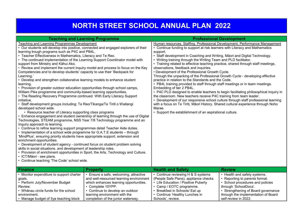#### **NORTH STREET SCHOOL ANNUAL PLAN 202 2**

| <b>Teaching and Learning Programme</b>                                                                                                                                                                                                                                                                                                                                                                                                                                                                                                                                                                                                                                                                                                                                                                                                                                                                                                                                                                                                                                                                                                                                                                                                                                                                                                                                                                                                                                                                                                                                                                                                                                                                                                                                                                                                                                                 |                                                                                                                                                                                                                                                             |                                                                                                                                                                                                                                                                                                                                                                                                                                                                                                                                                                                                                                                                                                                                                                                                                                                                                                                                                                                                                                                                                                                                                                                | <b>Professional Development</b>                                                                                                                                                                                                   |
|----------------------------------------------------------------------------------------------------------------------------------------------------------------------------------------------------------------------------------------------------------------------------------------------------------------------------------------------------------------------------------------------------------------------------------------------------------------------------------------------------------------------------------------------------------------------------------------------------------------------------------------------------------------------------------------------------------------------------------------------------------------------------------------------------------------------------------------------------------------------------------------------------------------------------------------------------------------------------------------------------------------------------------------------------------------------------------------------------------------------------------------------------------------------------------------------------------------------------------------------------------------------------------------------------------------------------------------------------------------------------------------------------------------------------------------------------------------------------------------------------------------------------------------------------------------------------------------------------------------------------------------------------------------------------------------------------------------------------------------------------------------------------------------------------------------------------------------------------------------------------------------|-------------------------------------------------------------------------------------------------------------------------------------------------------------------------------------------------------------------------------------------------------------|--------------------------------------------------------------------------------------------------------------------------------------------------------------------------------------------------------------------------------------------------------------------------------------------------------------------------------------------------------------------------------------------------------------------------------------------------------------------------------------------------------------------------------------------------------------------------------------------------------------------------------------------------------------------------------------------------------------------------------------------------------------------------------------------------------------------------------------------------------------------------------------------------------------------------------------------------------------------------------------------------------------------------------------------------------------------------------------------------------------------------------------------------------------------------------|-----------------------------------------------------------------------------------------------------------------------------------------------------------------------------------------------------------------------------------|
| <b>Teaching and Learning Programmes Development</b><br>• Our students will develop into positive, connected and engaged explorers of their<br>learning trough programs such as P4C and PB4L.<br>• Teacher Effectiveness in Mathematics, Literacy and Te Reo.<br>• The continued implementation of the Learning Support Coordinator model with<br>support from Ministry and Kāhui Ako.<br>• Review and implement the current inquiry model and process to focus on the Key<br>Competencies and to develop students' capacity to use their 'Backpack for<br>Learning.'<br>• Develop and strengthen collaborative learning models to enhance student<br>learning.<br>• Provision of greater outdoor education opportunities through school camps,<br>William Pike programme and community-based learning opportunities.<br>• The Reading Recovery Programme continued. With Early Literacy Support<br>initiative.<br>· Staff development groups including: Te Reo/Tikanga/Te Tiriti o Waitangi<br>developed school wide.<br>• Resource teacher of Literacy supporting class programs<br>• Enhance engagement and student ownership of learning through the use of Digital<br>Technologies, STEAM programme, NSS Year 7/8 Technology programme and an<br>Inquiry approach to learning.<br>• Continue to refine learning support programmes detail Teacher Aide duties.<br>• Implementation of a school wide programme for G.A.T.E students – through<br>'MindPlus', ensuring priority students have appropriate support, extension and<br>enrichment opportunities.<br>• Development of student agency - continued focus on student problem solving<br>skills in social situations. and development of leadership roles.<br>• Provision of enrichment opportunities in Sport, the Arts, Technology and Culture.<br>· ICT/Māori - see plans.<br>• Continue teaching 'The Code' school wide. |                                                                                                                                                                                                                                                             | Human resources, Staffing, Professional Development, Performance Management<br>• Continue funding to support at risk learners with Literacy and Mathematics<br>support.<br>• Staff development in Coaching and Writing, Māori and Digital Technology.<br>• Writing training through the Writing Team and PLD facilitator.<br>• Training related to effective teaching practice, shared through staff meetings,<br>observations, feedback and inquiries.<br>• Development of the Professional Growth Cycle.<br>Through the unpacking of the Professional Growth Cycle - developing effective<br>practice in relation to the Standards and the Code.<br>• PB4L training provided to staff through staff meetings or in team meetings.<br>Embedding of tier 2 PB4L.<br>• P4C PLD designed to enable teachers to begin facilitating philosophical inquiry in<br>the classroom. New teachers receive P4C training from team leader.<br>• Development of our responsive school culture through staff professional learning<br>with a focus on Te Tiriti, Māori History. Shared cultural experience through Noho<br>Marae.<br>• Support the establishment of an aspirational culture. |                                                                                                                                                                                                                                   |
| <b>Finance</b>                                                                                                                                                                                                                                                                                                                                                                                                                                                                                                                                                                                                                                                                                                                                                                                                                                                                                                                                                                                                                                                                                                                                                                                                                                                                                                                                                                                                                                                                                                                                                                                                                                                                                                                                                                                                                                                                         | <b>Property</b>                                                                                                                                                                                                                                             | <b>Health and Safety</b>                                                                                                                                                                                                                                                                                                                                                                                                                                                                                                                                                                                                                                                                                                                                                                                                                                                                                                                                                                                                                                                                                                                                                       | <b>Review</b>                                                                                                                                                                                                                     |
| • Monitor expenditure to support charter<br>goals.<br>• Perform July/November Budget<br>Review.<br>• Whānau circle funds for the school<br>environment.<br>• Manage budget of 5ya teaching block                                                                                                                                                                                                                                                                                                                                                                                                                                                                                                                                                                                                                                                                                                                                                                                                                                                                                                                                                                                                                                                                                                                                                                                                                                                                                                                                                                                                                                                                                                                                                                                                                                                                                       | • Ensure a safe, welcoming, attractive<br>and well-resourced learning environment<br>which enhances learning opportunities.<br>• Complete 10YPP.<br>• Continue to develop an outdoor<br>learning environment with the<br>completion of the junior waterway. | • Continue reviewing H & S systems<br>(People Safe Plans), appliance checks<br>• Life Education / Positive Puberty<br>• Camp / EOTC programme.<br>• Breakfast in Schools/ Eat up<br>• Continue 'Healthy Lunches in<br>Schools', review.                                                                                                                                                                                                                                                                                                                                                                                                                                                                                                                                                                                                                                                                                                                                                                                                                                                                                                                                        | • Health and safety systems.<br>• Reporting to parents format.<br>• School procedures and policies<br>through 'SchoolDocs'.<br>• Strengthening of Board governance<br>through the implementation of Board<br>self-review in 2022. |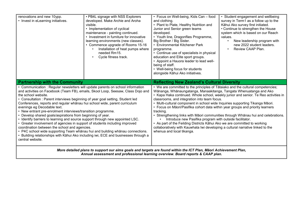| renovations and new 10ypp.<br>• Invest in eLearning initiatives.                                                                                                                                                                                                                                                                                                                                                                                                                                                                                                                                                                                                                                                                                                                                                                                                                                                                                                             | • PB4L signage with NSS Explorers<br>developed. Make Archie and Aroha<br>visible.<br>• Implementation of cyclical<br>maintenance - painting continued.<br>• Investment in furniture for innovative<br>learning environments (new classes).<br>• Commence upgrade of Rooms 15-16<br>Installation of heat pumps where<br>needed Rm15.<br>Cycle fitness track. | • Focus on Well-being, Kids Can - food<br>and clothing.<br>• Plant to Plate, Healthy Nutrition and<br>Junior and Senior green teams<br>developed.<br>• Youth line, Dragonflies Programme,<br>Big Brother / Big Sister.<br>• Environmental Kitchener Park<br>programme.<br>• Continue use of specialists in physical<br>education and Elite sport groups.<br>• Appoint a Hauora leader to lead well-<br>being of staff.                                                                                                                                                                                                                                                                                                                                                                                                     | • Student engagement and wellbeing<br>survey in Term1 as a follow up to the<br>Kāhui Ako survey first initiated.<br>• Continue to strengthen the House<br>system which is based on our Reach<br>values.<br>New leadership program with<br>$\bullet$<br>new 2022 student leaders.<br>Review CAAP Plan. |  |
|------------------------------------------------------------------------------------------------------------------------------------------------------------------------------------------------------------------------------------------------------------------------------------------------------------------------------------------------------------------------------------------------------------------------------------------------------------------------------------------------------------------------------------------------------------------------------------------------------------------------------------------------------------------------------------------------------------------------------------------------------------------------------------------------------------------------------------------------------------------------------------------------------------------------------------------------------------------------------|-------------------------------------------------------------------------------------------------------------------------------------------------------------------------------------------------------------------------------------------------------------------------------------------------------------------------------------------------------------|----------------------------------------------------------------------------------------------------------------------------------------------------------------------------------------------------------------------------------------------------------------------------------------------------------------------------------------------------------------------------------------------------------------------------------------------------------------------------------------------------------------------------------------------------------------------------------------------------------------------------------------------------------------------------------------------------------------------------------------------------------------------------------------------------------------------------|-------------------------------------------------------------------------------------------------------------------------------------------------------------------------------------------------------------------------------------------------------------------------------------------------------|--|
|                                                                                                                                                                                                                                                                                                                                                                                                                                                                                                                                                                                                                                                                                                                                                                                                                                                                                                                                                                              |                                                                                                                                                                                                                                                                                                                                                             | • Well-being focus for students<br>alongside Kāhui Ako initiatives.<br><b>Reflecting New Zealand's Cultural Diversity</b>                                                                                                                                                                                                                                                                                                                                                                                                                                                                                                                                                                                                                                                                                                  |                                                                                                                                                                                                                                                                                                       |  |
| <b>Partnership with the Community</b><br>• Communication : Regular newsletters will update parents on school information<br>and activities on Facebook (Team FB), emails, Skool Loop, Seesaw, Class Dojo and<br>the school website.<br>• Consultation: Parent interviews beginning of year goal setting, Student led<br>Conferences, reports and regular whānau hui school wide, parent curriculum<br>evenings eg Decodable text.<br>• New entrant pre-enrolment interviews/transition programme.<br>• Develop shared goals/aspirations from beginning of year.<br>• Identify barriers to learning and source support through new appointed LSC.<br>• Greater involvement of agencies in support of students including improved<br>coordination between the school and agencies.<br>• P4C school wide supporting Team whānau hui and building whānau connections.<br>• Building relationships with Kāhui Ako including iwi, ECE and businesses through a<br>central website. |                                                                                                                                                                                                                                                                                                                                                             | • We are committed to the principles of Tātaiako and the cultural competencies;<br>Wānanga, Whānaungatanga, Manaakitanga, Tangata Whenuatanga and Ako<br>• Kapa Haka continued. Whole school, weekly junior and senior. Te Reo activities in<br>classrooms, and integration into team focus.<br>• Multi-cultural component in school wide Inquiries supporting Tikanga Māori.<br>• Focus on Māori/Pasifika cohort data within year groups and priority learners<br>tracking.<br>• Strengthening links with Māori communities through Whānau hui and celebrations.<br>Introduce new Pasifika program with outside facilitator.<br>• As part of the Feilding Districts Kāhui Ako we are committed to working<br>collaboratively with Kauwhata Iwi developing a cultural narrative linked to the<br>whenua and local tikanga. |                                                                                                                                                                                                                                                                                                       |  |
| More detailed plans to support our aims goals and targets are found within the ICT Plan, Māori Achievement Plan,<br>Annual assessment and professional learning overview. Board reports & CAAP plan.                                                                                                                                                                                                                                                                                                                                                                                                                                                                                                                                                                                                                                                                                                                                                                         |                                                                                                                                                                                                                                                                                                                                                             |                                                                                                                                                                                                                                                                                                                                                                                                                                                                                                                                                                                                                                                                                                                                                                                                                            |                                                                                                                                                                                                                                                                                                       |  |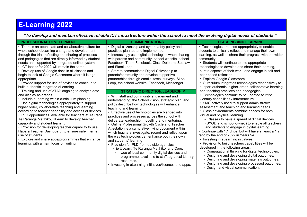#### **E -Learning 202 2**

<sup>"</sup>To develop and maintain effective reliable ICT infrastructure within the school to meet the evolving digital needs of students."

| PROFESSIONAL DEVELOPMENT                                                                                                                                                                                                                                                                                                                                                                                                                                                                                                                                                                                                                                                              | <b>COMMUNICATIONS</b>                                                                                                                                                                                                                                                                                                                                                                                                                                                                                                                                                                                                                                                                                                                                                                                                                                                                                | <b>TEACHING AND LEARNING</b>                                                                                                                                                                                                                                                                                                                                                                                                                                                                                                                                                                                                                                                                                                                                                                                                                                                                                                                                   |
|---------------------------------------------------------------------------------------------------------------------------------------------------------------------------------------------------------------------------------------------------------------------------------------------------------------------------------------------------------------------------------------------------------------------------------------------------------------------------------------------------------------------------------------------------------------------------------------------------------------------------------------------------------------------------------------|------------------------------------------------------------------------------------------------------------------------------------------------------------------------------------------------------------------------------------------------------------------------------------------------------------------------------------------------------------------------------------------------------------------------------------------------------------------------------------------------------------------------------------------------------------------------------------------------------------------------------------------------------------------------------------------------------------------------------------------------------------------------------------------------------------------------------------------------------------------------------------------------------|----------------------------------------------------------------------------------------------------------------------------------------------------------------------------------------------------------------------------------------------------------------------------------------------------------------------------------------------------------------------------------------------------------------------------------------------------------------------------------------------------------------------------------------------------------------------------------------------------------------------------------------------------------------------------------------------------------------------------------------------------------------------------------------------------------------------------------------------------------------------------------------------------------------------------------------------------------------|
| • There is an open, safe and collaborative culture for<br>whole school eLearning change and development<br>through the trial, reflecting and sharing of practices<br>and pedagogies that are directly informed by student<br>needs and supported by integrated online systems.<br>• ICT leader for 2022 will remain the same.<br>• Develop use of Google docs in all classes and<br>begin to look at Google Classroom where it is age<br>appropriate.<br>• Provide support for use of devices to continue to<br>build authentic integrated eLearning.                                                                                                                                 | Digital citizenship and cyber safety policy and<br>practices planned and implemented.<br>• Increasingly use digital technologies when sharing<br>with parents and community- school website, school<br>Facebook, Team Facebook, Class Dojo and Seesaw<br>and Skool Loop.<br>• Start to communicate Digital Citizenship to<br>parents/community and develop supportive<br>partnerships through emails, texts, surveys, Skool<br>Loop, the school website, Facebook, Messenger.                                                                                                                                                                                                                                                                                                                                                                                                                        | • Technologies are used appropriately to enable<br>students to critically reflect and manage their own<br>learning, as well as share their progress with the wider<br>community.<br>• Students will continue to use appropriate<br>technologies to develop and share their learning,<br>curate aspects of their work, and engage in self and<br>peer based reflection.<br>Explore Google Classroom.<br>• Curriculum integrates technologies responsively to<br>support authentic, higher-order, collaborative learning                                                                                                                                                                                                                                                                                                                                                                                                                                         |
| • Training and use of eTAP ongoing to analyse data<br>and display as graphs.<br>• Include eLearning within curriculum planning.<br>• Use digital technologies appropriately to support<br>higher order, collaborative teaching and learning<br>according to teacher capability and access of devices.<br>• PLD opportunities available for teachers at Te Papa,<br>Te Raranga Matihiko, ULearn to develop teacher<br>capability and student learning.<br>• Provision for developing teacher capability to use<br>Hapara Teacher Dashboard, to ensure safe internet<br>use of students.<br>• Explore and share apps/programmes that enhance<br>learning, with a main focus on writing. | <b>STRATEGIC DIRECTION/LEADERSHIP</b><br>• With staff and community engagement and<br>understanding; the School vision, strategic plan, and<br>policy describe how technologies will enhance<br>teaching and learning.<br>• Effective use of technologies are blended into<br>practices and processes across the school with<br>deliberate leadership, modelling and mentoring.<br>• Online Professional Growth Cycle and Teacher<br>Attestation is a cumulative, living document within<br>which teachers investigate, record and reflect upon<br>the way technologies can enhance both their own<br>and students' learning.<br>• Provision for PLD from outside agencies,<br>- ie ULearn, Te Raranga Matihiko, and Core.<br>Use of local community digital devices and<br>programmes available to staff. eg Local Library<br>resources.<br>• Investing in eLearning initiatives/licences and apps. | and teaching practices and pedagogies.<br>• Technologies continue to be updated to 21st<br>Century capabilities / Infrastructure.<br>• SMS actively used to support administrative<br>assessment and teaching and learning needs.<br>• Class environments combine spaces for both<br>virtual and physical learning.<br>- Classes to have a spread of digital devices<br>(BYOD and school owned) to enable all teachers<br>and students to engage in digital learning.<br>• Continue with 1:1 drive, but will have at least a 1:2<br>ratio by the end of 2022 in Years 5-8.<br>• Investing in eLearning initiatives.<br>• Provision to build teachers capabilities will be<br>developed in the following areas:<br>- Computational thinking for digital technologies.<br>- Designing and developing digital outcomes.<br>- Designing and developing materials outcomes.<br>- Designing and developing processed outcomes.<br>- Design and visual communication. |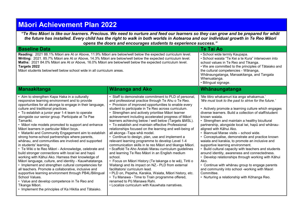#### **Mäori Achievement Plan 2022**

*"*Te Reo Māori is like our learners. Precious. We need to nurture and feed our learners so they can grow and be prepared for whāt *the future has installed. Every child has the right to walk in both worlds in Aotearoa and our individual growth in Te Reo Māori* opens the doors and encourages students to experience success."

| <b>Baseline Data</b><br>Reading: 2021 88.1% Māori are At or Above, 11.9% Māori are below/well below the expected curriculum level.<br>Writing: 2021. 85.7% Māori are At or Above, 14.3% Māori are below/well below the expected curriculum level.<br>Maths: 2021 84.0% Māori are At or Above, 16.0% Māori are below/well below the expected curriculum level.<br>Targets 2022<br>Māori students below/well below school wide in all curriculum areas.                                                                                                                                                                                                                                                                                                                                                                                                                                                                                                                                                                                                                                                                                                                        | <b>Te Tai Ao</b><br>· School wide termly Kaupapa.<br>• School waiata "Te Kei a te Kura" interwoven into<br>school values in Te Reo and Tikanga.<br>• We are committed to the principles of Tātaiako and<br>the cultural competencies - Wānanga,<br>Whānaungatanga, Manaakitanga, and Tangata<br>Whenuatanga.<br>· Bilingual signage.                                                                                                                                                                                                                                                                                                                                                                                                                                                                                                                                                                                                                                                                                                                                                                                                                                                     |                                                                                                                                                                                                                                                                                                                                                                                                                                                                                                                                                                                                                                                                                                                                                                                                                                                                                                  |
|------------------------------------------------------------------------------------------------------------------------------------------------------------------------------------------------------------------------------------------------------------------------------------------------------------------------------------------------------------------------------------------------------------------------------------------------------------------------------------------------------------------------------------------------------------------------------------------------------------------------------------------------------------------------------------------------------------------------------------------------------------------------------------------------------------------------------------------------------------------------------------------------------------------------------------------------------------------------------------------------------------------------------------------------------------------------------------------------------------------------------------------------------------------------------|------------------------------------------------------------------------------------------------------------------------------------------------------------------------------------------------------------------------------------------------------------------------------------------------------------------------------------------------------------------------------------------------------------------------------------------------------------------------------------------------------------------------------------------------------------------------------------------------------------------------------------------------------------------------------------------------------------------------------------------------------------------------------------------------------------------------------------------------------------------------------------------------------------------------------------------------------------------------------------------------------------------------------------------------------------------------------------------------------------------------------------------------------------------------------------------|--------------------------------------------------------------------------------------------------------------------------------------------------------------------------------------------------------------------------------------------------------------------------------------------------------------------------------------------------------------------------------------------------------------------------------------------------------------------------------------------------------------------------------------------------------------------------------------------------------------------------------------------------------------------------------------------------------------------------------------------------------------------------------------------------------------------------------------------------------------------------------------------------|
| <b>Manaakitanga</b>                                                                                                                                                                                                                                                                                                                                                                                                                                                                                                                                                                                                                                                                                                                                                                                                                                                                                                                                                                                                                                                                                                                                                          | <b>Wānanga and Ako</b>                                                                                                                                                                                                                                                                                                                                                                                                                                                                                                                                                                                                                                                                                                                                                                                                                                                                                                                                                                                                                                                                                                                                                                   | Whānaungatanga                                                                                                                                                                                                                                                                                                                                                                                                                                                                                                                                                                                                                                                                                                                                                                                                                                                                                   |
| • Aim to strengthen Kapa Haka in a culturally<br>responsive learning environment and to provide<br>opportunities for all akonga to engage in their language,<br>culture and traditional practices.<br>• To establish a junior year 1-4 team to operate<br>alongside our senior group. Participate at Te Pae<br>Tamariki.<br>• Māori role models promoted to support and enhance<br>Māori learners in particular Māori boys.<br>• Matariki and Community Engagement aim to establish<br>strong home-school partnerships where parents,<br>whānau, and communities are involved and supported<br>in students' learning.<br>· Te Wiki o te Reo Māori - Acknowledge, celebrate and<br>build stronger connections with local iwi and hapū<br>working with Kāhui Ako. Harness their knowledge of<br>Māori language, culture, and identity - Kauwhatatanga.<br>• Implement and strengthen cultural competencies for<br>all teachers. Promote a collaborative, inclusive and<br>supportive learning environment through PB4L/Bilingual<br>School Values.<br>• Value and develop competence in Te Reo and<br>Tikanga Māori.<br>• Implement the principles of Ka Hikitia and Tātaiako. | • Staff to demonstrate commitment to PLD of personal,<br>and professional practice through Te Ahu o Te Reo.<br>• Provision of improved opportunities to enable every<br>student to participate in Te Reo across curriculum.<br>• Strengthen and actively prioritise Māori learner<br>achievement including accelerated progress of Māori<br>learners achieving below / well below (Targets &MSL).<br>• To establish and maintain effective Professional<br>relationships focused on the learning and well-being of<br>all akonga - Tapa whā model.<br>• Continue to design, plan, use and implement a<br>relevant learning programme to develop Level 1-4<br>communication skills in te reo Māori and tikanga Māori.<br>• Scaffold Te Aho Arataki Marau curriculum guidelines<br>and learning Te Reo Māori in an English medium<br>school.<br>· Focus on Māori History (Te takanga o te wā), Tiriti o<br>Waitangi and its impact on NZ.- PLD from external<br>facilitators/curriculum lead.<br>· PLD on, Pepeha, Karakia, Waiata, Māori history, etc.<br>• Tu Manawa - Time to Train programme offered,<br>renamed to Pū Manawa Rahi.<br>• Localize curriculum with Kauwhata narratives. | 'Me titiro whakamuri kia anga whakamua.'<br>'We must look to the past to strive for the future.'<br>• Actively promote a learning culture which engages<br>diverse learners. Build a collection of staff/student<br>known waiata.<br>• Strengthen and maintain a healthy bicultural<br>partnership, alongside local iwi, hapū and whānau-<br>aligned with Kāhui Ako.<br>• Biannual Marae visits - school wide.<br>• Conceptualise, demonstrate and practice known<br>waiata and karakia, to promote an inclusive and<br>supportive learning environment.<br>• Build cultural capacity with teachers and students<br>around identity, awareness and connectedness.<br>• Develop relationships through working with Kāhui<br>Ako.<br>• Continue with whanau group to engage parents<br>and community into school -working with Maori<br>Committee.<br>• Nurturing a relationship with Kōhanga Reo. |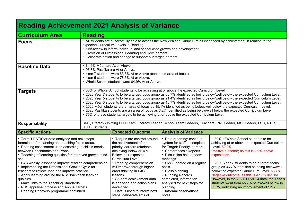| <b>Reading Achievement 2021 Analysis of Variance</b>                                                                                                                                                                                                                                                                                                                                                                                                                                                                                                                                                                                      |                                                                                                                                                                                                                                                                                                                                                                                                                                                                                                                                                                                                                                                                                                                                                                                                                                                 |                                                                                                                                                                                                                                                                                                                                                                                                         |                                                                                                                                                                                                                                                                                                                                                                |                                                                                                                                                                                                                                                                                                                                                                                                                                                                                                          |
|-------------------------------------------------------------------------------------------------------------------------------------------------------------------------------------------------------------------------------------------------------------------------------------------------------------------------------------------------------------------------------------------------------------------------------------------------------------------------------------------------------------------------------------------------------------------------------------------------------------------------------------------|-------------------------------------------------------------------------------------------------------------------------------------------------------------------------------------------------------------------------------------------------------------------------------------------------------------------------------------------------------------------------------------------------------------------------------------------------------------------------------------------------------------------------------------------------------------------------------------------------------------------------------------------------------------------------------------------------------------------------------------------------------------------------------------------------------------------------------------------------|---------------------------------------------------------------------------------------------------------------------------------------------------------------------------------------------------------------------------------------------------------------------------------------------------------------------------------------------------------------------------------------------------------|----------------------------------------------------------------------------------------------------------------------------------------------------------------------------------------------------------------------------------------------------------------------------------------------------------------------------------------------------------------|----------------------------------------------------------------------------------------------------------------------------------------------------------------------------------------------------------------------------------------------------------------------------------------------------------------------------------------------------------------------------------------------------------------------------------------------------------------------------------------------------------|
| <b>Curriculum Area</b>                                                                                                                                                                                                                                                                                                                                                                                                                                                                                                                                                                                                                    | <b>Reading</b>                                                                                                                                                                                                                                                                                                                                                                                                                                                                                                                                                                                                                                                                                                                                                                                                                                  |                                                                                                                                                                                                                                                                                                                                                                                                         |                                                                                                                                                                                                                                                                                                                                                                |                                                                                                                                                                                                                                                                                                                                                                                                                                                                                                          |
| <b>Focus</b>                                                                                                                                                                                                                                                                                                                                                                                                                                                                                                                                                                                                                              | • All students are successfully able to access the New Zealand Curriculum as evidenced by achievement in relation to the<br>expected Curriculum Levels in Reading.<br>• Self-review to inform individual and school wide growth and development.<br>Provision of Professional Learning and Development.<br>Deliberate action and change to support our target learners.                                                                                                                                                                                                                                                                                                                                                                                                                                                                         |                                                                                                                                                                                                                                                                                                                                                                                                         |                                                                                                                                                                                                                                                                                                                                                                |                                                                                                                                                                                                                                                                                                                                                                                                                                                                                                          |
| <b>Baseline Data</b>                                                                                                                                                                                                                                                                                                                                                                                                                                                                                                                                                                                                                      | · 84.9% Māori are At or Above.<br>93.8% Pasifika are At or Above.<br>• Year 7 students were 63.3% At or Above (continued area of focus).<br>• Year 5 students were 78.6% At or Above.<br>• Whole School students were 84.9% At or Above.                                                                                                                                                                                                                                                                                                                                                                                                                                                                                                                                                                                                        |                                                                                                                                                                                                                                                                                                                                                                                                         |                                                                                                                                                                                                                                                                                                                                                                |                                                                                                                                                                                                                                                                                                                                                                                                                                                                                                          |
| <b>Targets</b>                                                                                                                                                                                                                                                                                                                                                                                                                                                                                                                                                                                                                            | • 80% of Whole School students to be achieving at or above the expected Curriculum Level.<br>• 2020 Year 7 students to be a target focus group as 36.7% identified as being below/well below the expected Curriculum Level.<br>2020 Year 5 students to be a target focus group as 21.4% identified as being below/well below the expected Curriculum Level.<br>2020 Year 3 students to be a target focus group as 16.7% identified as being below/well below the expected Curriculum Level.<br>• 2020 Māori students are an area of focus as 15.1% identified as being below/well below the expected Curriculum Level.<br>2020 Pasifika students are an area of focus as 6.2% identified as being below/well below the expected Curriculum Level.<br>• 75% of these students/targets to be achieving at or above the expected Curriculum Level. |                                                                                                                                                                                                                                                                                                                                                                                                         |                                                                                                                                                                                                                                                                                                                                                                |                                                                                                                                                                                                                                                                                                                                                                                                                                                                                                          |
| <b>Responsibility</b>                                                                                                                                                                                                                                                                                                                                                                                                                                                                                                                                                                                                                     | RTLB, Students                                                                                                                                                                                                                                                                                                                                                                                                                                                                                                                                                                                                                                                                                                                                                                                                                                  |                                                                                                                                                                                                                                                                                                                                                                                                         |                                                                                                                                                                                                                                                                                                                                                                | SMT, Literacy / Writing PLD Team, Literacy Leader, School Team Leaders, Teachers, P4C Leader, MSL Leader, LSC, RTLit,                                                                                                                                                                                                                                                                                                                                                                                    |
| <b>Specific Actions</b>                                                                                                                                                                                                                                                                                                                                                                                                                                                                                                                                                                                                                   |                                                                                                                                                                                                                                                                                                                                                                                                                                                                                                                                                                                                                                                                                                                                                                                                                                                 | <b>Expected Outcome</b>                                                                                                                                                                                                                                                                                                                                                                                 | <b>Analysis of Variance</b>                                                                                                                                                                                                                                                                                                                                    |                                                                                                                                                                                                                                                                                                                                                                                                                                                                                                          |
| • Term 1 PAT/Star data analysed and next steps<br>formulated for planning and teaching focus areas.<br>• Reading assessment used according to child's needs,<br>between Benchmarks and Probe.<br>• Teaching of learning qualities for improved growth mind-<br>set.<br>• P4C weekly lessons to improve reading comprehension.<br>• Implementing the Professional Growth Cycle for<br>teachers to reflect upon and improve practice.<br>• Apply learning around the NSS backpack learning<br>qualities.<br>• Make links to the Teaching Standards.<br>• NSS appraisal process and Annual targets.<br>Reading Recovery programme continued. |                                                                                                                                                                                                                                                                                                                                                                                                                                                                                                                                                                                                                                                                                                                                                                                                                                                 | • Targets are centred around<br>the achievement of the<br>priority learners (students<br>achieving Below or Well<br>Below their expected<br>Curriculum Level).<br>• Reading comprehension<br>will improve through higher<br>order thinking in P4C<br>lessons.<br>· Student achievement data<br>is analysed and action plans<br>developed.<br>• Data is used to inform next<br>steps, deliberate acts of | • Data reporting: continue<br>system for staff to complete<br>for Target/ Priority learners.<br>• Conferences / Reports<br>• Discussion held at team<br>meetings.<br>• SMS updated on a regular<br>basis.<br>• Class planning.<br>• Running Records<br>completed, information<br>analysed for next steps for<br>planning.<br>• Informal observations<br>notes. | • 80% of Whole School students to be<br>achieving at or above the expected Curriculum<br>Level. 82.9%<br>Positive outcome; as this is 2.9% above<br>expectation.<br>2020 Year 7 students to be a target focus<br>group as 36.7% identified as being below/well<br>below the expected Curriculum Level. 53.7%<br>Negative outcome; as this is a 17% decline.<br>However, in the 2021 T1 vs T4 data, the Year 8<br>students went from 65.7% below/well below to<br>53.7% indicating an improvement of 12%. |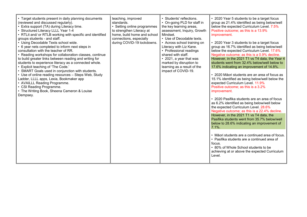| • Target students present in daily planning documents<br>(reviewed and discussed regularly).<br>• Extra support (TA) during Literacy time.<br>• Structured Literacy LLLL Year 1-4<br>• RTLit and/ or RTLB working with specific and identified<br>groups students - and staff.<br>• Using Decodable Texts school wide.<br>• 6 year nets completed to inform next steps in<br>consultation with the teacher of RR.<br>• Reading workshops for collaboration classes, continue<br>to build greater links between reading and writing for<br>students to experience literacy as a connected whole.<br>• Explicit teaching of 'The Code.'<br>• SMART Goals used in conjunction with students.<br>• Use of online reading resources - Steps Web, Study<br>Ladder, LLLL apps, Lexia, Bookmaker app<br>• AVAILLL Reading Programme.<br>• CSI Reading Programme.<br>• The Writing Book, Sheena Cameron & Louise<br>Dempsey. | teaching, improved<br>standards.<br>• Setting online programmes<br>to strengthen Literacy at<br>home, build home and school<br>connections, especially<br>during COVID-19 lockdowns. | • Students' reflections.<br>• On-going PLD for staff in<br>the key learning areas,<br>assessment, Inquiry, Growth<br>Mindset.<br>• Use of Decodable texts.<br>• Across school training on<br>Literacy with Liz Kane.<br>• Professional readings<br>shared with staff.<br>$\cdot$ 2021, a year that was<br>marked by disruption to<br>learning as a result of the<br>impact of COVID-19. | • 2020 Year 5 students to be a target focus<br>group as 21.4% identified as being below/well<br>below the expected Curriculum Level. 7.5%<br>Positive outcome; as this is a 13.9%<br>improvement.<br>• 2020 Year 3 students to be a target focus<br>group as 16.7% identified as being below/well<br>below the expected Curriculum Level. 17.6%<br>Negative outcome; as this is a 0.9% decline.<br>However, in the 2021 T1 vs T4 data, the Year 4<br>students went from 32.4% below/well below to<br>17.6% indicating an improvement of 14.8%.<br>• 2020 Māori students are an area of focus as<br>15.1% identified as being below/well below the<br>expected Curriculum Level. 11.9%<br>Positive outcome; as this is a 3.2%<br>improvement.<br>• 2020 Pasifika students are an area of focus<br>as 6.2% identified as being below/well below<br>the expected Curriculum Level. 28.6%<br>Negative outcome; as this is a 22.4% decline.<br>However, in the 2021 T1 vs T4 data, the<br>Pasifika students went from 35.7% below/well<br>below to 28.6% indicating an improvement of<br>$7.1\%$ .<br>• Māori students are a continued area of focus.<br>• Pasifika students are a continued area of<br>focus.<br>• 80% of Whole School students to be<br>achieving at or above the expected Curriculum<br>Level. |
|---------------------------------------------------------------------------------------------------------------------------------------------------------------------------------------------------------------------------------------------------------------------------------------------------------------------------------------------------------------------------------------------------------------------------------------------------------------------------------------------------------------------------------------------------------------------------------------------------------------------------------------------------------------------------------------------------------------------------------------------------------------------------------------------------------------------------------------------------------------------------------------------------------------------|--------------------------------------------------------------------------------------------------------------------------------------------------------------------------------------|-----------------------------------------------------------------------------------------------------------------------------------------------------------------------------------------------------------------------------------------------------------------------------------------------------------------------------------------------------------------------------------------|--------------------------------------------------------------------------------------------------------------------------------------------------------------------------------------------------------------------------------------------------------------------------------------------------------------------------------------------------------------------------------------------------------------------------------------------------------------------------------------------------------------------------------------------------------------------------------------------------------------------------------------------------------------------------------------------------------------------------------------------------------------------------------------------------------------------------------------------------------------------------------------------------------------------------------------------------------------------------------------------------------------------------------------------------------------------------------------------------------------------------------------------------------------------------------------------------------------------------------------------------------------------------------------------------------------|
|                                                                                                                                                                                                                                                                                                                                                                                                                                                                                                                                                                                                                                                                                                                                                                                                                                                                                                                     |                                                                                                                                                                                      |                                                                                                                                                                                                                                                                                                                                                                                         |                                                                                                                                                                                                                                                                                                                                                                                                                                                                                                                                                                                                                                                                                                                                                                                                                                                                                                                                                                                                                                                                                                                                                                                                                                                                                                              |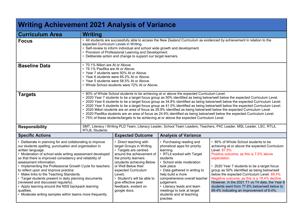| <b>Writing Achievement 2021 Analysis of Variance</b>                                                                                                                                                                                                                                                                                                                                                                                                                                                                                                                                                                                                                        |                                                                                                                                                                                                                                                                                                                                                                                                                                                                                                                                                                                                                                                                                                                                                                                                                                                |                                                                                                                                                                                                                                                                                                                        |                                                                                                                                                                                                                                                                                                                                                                    |                                                                                                                                                                                                                                                                                                                                                                                                                                                                                                             |
|-----------------------------------------------------------------------------------------------------------------------------------------------------------------------------------------------------------------------------------------------------------------------------------------------------------------------------------------------------------------------------------------------------------------------------------------------------------------------------------------------------------------------------------------------------------------------------------------------------------------------------------------------------------------------------|------------------------------------------------------------------------------------------------------------------------------------------------------------------------------------------------------------------------------------------------------------------------------------------------------------------------------------------------------------------------------------------------------------------------------------------------------------------------------------------------------------------------------------------------------------------------------------------------------------------------------------------------------------------------------------------------------------------------------------------------------------------------------------------------------------------------------------------------|------------------------------------------------------------------------------------------------------------------------------------------------------------------------------------------------------------------------------------------------------------------------------------------------------------------------|--------------------------------------------------------------------------------------------------------------------------------------------------------------------------------------------------------------------------------------------------------------------------------------------------------------------------------------------------------------------|-------------------------------------------------------------------------------------------------------------------------------------------------------------------------------------------------------------------------------------------------------------------------------------------------------------------------------------------------------------------------------------------------------------------------------------------------------------------------------------------------------------|
| <b>Curriculum Area</b>                                                                                                                                                                                                                                                                                                                                                                                                                                                                                                                                                                                                                                                      | <b>Writing</b>                                                                                                                                                                                                                                                                                                                                                                                                                                                                                                                                                                                                                                                                                                                                                                                                                                 |                                                                                                                                                                                                                                                                                                                        |                                                                                                                                                                                                                                                                                                                                                                    |                                                                                                                                                                                                                                                                                                                                                                                                                                                                                                             |
| <b>Focus</b>                                                                                                                                                                                                                                                                                                                                                                                                                                                                                                                                                                                                                                                                | • All students are successfully able to access the New Zealand Curriculum as evidenced by achievement in relation to the<br>expected Curriculum Levels in Writing.<br>Self-review to inform individual and school wide growth and development.<br>Provision of Professional Learning and Development.<br>• Deliberate action and change to support our target learners.                                                                                                                                                                                                                                                                                                                                                                                                                                                                        |                                                                                                                                                                                                                                                                                                                        |                                                                                                                                                                                                                                                                                                                                                                    |                                                                                                                                                                                                                                                                                                                                                                                                                                                                                                             |
| <b>Baseline Data</b>                                                                                                                                                                                                                                                                                                                                                                                                                                                                                                                                                                                                                                                        | • 70.1% Māori are At or Above.<br>• 75.1% Pasifika are At or Above.<br>• Year 7 students were 50% At or Above.<br>• Year 6 students were 65.2% At or Above.<br>• Year 5 students were 58.5% At or Above.<br>• Whole School students were 72% At or Above.                                                                                                                                                                                                                                                                                                                                                                                                                                                                                                                                                                                      |                                                                                                                                                                                                                                                                                                                        |                                                                                                                                                                                                                                                                                                                                                                    |                                                                                                                                                                                                                                                                                                                                                                                                                                                                                                             |
| <b>Targets</b>                                                                                                                                                                                                                                                                                                                                                                                                                                                                                                                                                                                                                                                              | • 80% of Whole School students to be achieving at or above the expected Curriculum Level.<br>• 2020 Year 7 students to be a target focus group as 50% identified as being below/well below the expected Curriculum Level.<br>2020 Year 6 students to be a target focus group as 34.8% identified as being below/well below the expected Curriculum Level.<br>2020 Year 5 students to be a target focus group as 41.5% identified as being below/well below the expected Curriculum Level.<br>• 2020 Māori students are an area of focus as 29.9% identified as being below/well below the expected Curriculum Level.<br>2020 Pasifika students are an area of focus as 24.9% identified as being below/well below the expected Curriculum Level.<br>• 75% of these students/targets to be achieving at or above the expected Curriculum Level. |                                                                                                                                                                                                                                                                                                                        |                                                                                                                                                                                                                                                                                                                                                                    |                                                                                                                                                                                                                                                                                                                                                                                                                                                                                                             |
| <b>Responsibility</b>                                                                                                                                                                                                                                                                                                                                                                                                                                                                                                                                                                                                                                                       | RTLB, Students                                                                                                                                                                                                                                                                                                                                                                                                                                                                                                                                                                                                                                                                                                                                                                                                                                 |                                                                                                                                                                                                                                                                                                                        |                                                                                                                                                                                                                                                                                                                                                                    | SMT, Literacy / Writing PLD Team, Literacy Leader, School Team Leaders, Teachers, P4C Leader, MSL Leader, LSC, RTLit,                                                                                                                                                                                                                                                                                                                                                                                       |
| <b>Specific Actions</b>                                                                                                                                                                                                                                                                                                                                                                                                                                                                                                                                                                                                                                                     |                                                                                                                                                                                                                                                                                                                                                                                                                                                                                                                                                                                                                                                                                                                                                                                                                                                | <b>Expected Outcome</b>                                                                                                                                                                                                                                                                                                | <b>Analysis of Variance</b>                                                                                                                                                                                                                                                                                                                                        |                                                                                                                                                                                                                                                                                                                                                                                                                                                                                                             |
| • Deliberate in planning for and collaborating to improve<br>our students spelling, punctuation and organisation in<br>written language.<br>• Moderation of school wide writing assessment developed<br>so that there is improved consistency and reliability of<br>assessment information.<br>• Implementing the Professional Growth Cycle for teachers<br>to reflect upon and improve practice.<br>• Make links to the Teaching Standards.<br>• Target students present in daily planning documents<br>(reviewed and discussed regularly).<br>• Apply learning around the NSS backpack learning<br>qualities.<br>• Moderate writing samples within teams more frequently. |                                                                                                                                                                                                                                                                                                                                                                                                                                                                                                                                                                                                                                                                                                                                                                                                                                                | • Direct teaching with<br>target Groups in Writing.<br>• Targets are centred<br>around the achievement of<br>the priority learners<br>(students achieving Below<br>or Well Below their<br>expected Curriculum<br>Level).<br>• Student's will be able to<br>give effective peer<br>feedback, evident on<br>google docs. | • Purchasing reading and<br>phonetical apps for priority<br>learning.<br>• RTLit worked with Target<br>students<br>• School wide moderation<br>took place<br>• Data gathered in writing to<br>help build a more<br>comprehensive overall teacher<br>judgement.<br>• Literacy leads and team<br>meetings to look at target<br>students and at teaching<br>practise. | • 80% of Whole School students to be<br>achieving at or above the expected Curriculum<br>Level. 87.5%<br>Positive outcome; as this is 7.5% above<br>expectation.<br>• 2020 Year 7 students to be a target focus<br>group as 50% identified as being below/well<br>below the expected Curriculum Level. 69.4%<br>Negative outcome; as this is a 19.4% decline.<br>However, in the 2021 T1 vs T4 data, the Year 8<br>students went from 77.8% below/well below to<br>69.4% indicating an improvement of 8.4%. |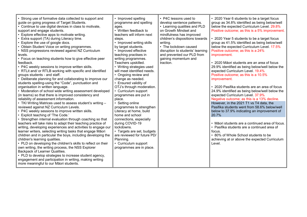| • Strong use of formative data collected to support and       | Improved spelling           | P4C lessons used to              | 2020 Year 6 students to be a target focus      |
|---------------------------------------------------------------|-----------------------------|----------------------------------|------------------------------------------------|
| guide on going progress of Target Students.                   | programme and spelling      | develop sentence patterns.       | group as 34.8% identified as being below/well  |
| • Continue to use digital devices in class to motivate,       | ages.                       | • Learning qualities and PLD     | below the expected Curriculum Level. 29.8%     |
| support and engage students.                                  | • Written feedback to       | on Growth Mindset and            | Positive outcome; as this is a 5% improvement. |
| • Explore effective apps to motivate writing.                 | teachers will inform next   | mindfulness has improved         |                                                |
| • Extra support (TA) during Literacy time.                    | steps.                      | children's dispositions towards  | • 2020 Year 5 students to be a target focus    |
| • Explore the use of google docs.                             | • Improved writing skills   | writing.                         | group as 41.5% identified as being below/well  |
| • Obtain Student Voice on writing programmes.                 | by target students.         | • The lockdown caused            | below the expected Curriculum Level. 17.5%     |
| • NSS progressions reviewed against NZ Curriculum             | • Improved effective        | disruption to students' learning | Positive outcome; as this is a 24%             |
| levels.                                                       | teaching practises in       | and prevented our PLD from       | improvement.                                   |
| • Focus on teaching students how to give effective peer       | writing programmes.         | gaining momentum and             |                                                |
| feedback.                                                     | Teachers upskilled.         | traction.                        | • 2020 Māori students are an area of focus     |
| • P4C weekly sessions to improve written skills.              | • Writing strategies used   |                                  | 29.9% identified as being below/well below the |
| • RTLit and/ or RTLB working with specific and identified     | will meet identified needs. |                                  | expected Curriculum Level. 19.4%               |
| groups students - and staff.                                  | Ongoing review and          |                                  | Positive outcome; as this is a 10.5%           |
| • Deliberate planning for and collaborating to improve our    | change as needed.           |                                  | improvement.                                   |
| students spelling-using the "Code", punctuation and           | • Ensured validity of       |                                  |                                                |
| organisation in written language.                             | OTJ's through moderation.   |                                  | • 2020 Pasifika students are an area of focus  |
| • Moderation of school wide writing assessment developed      | • Curriculum support        |                                  | 24.9% identified as being below/well below the |
| (in teams) so that there is improved consistency and          | programmes are put in       |                                  | expected Curriculum Level. 37.9%               |
| reliability of assessment information.                        | place.                      |                                  | Negative outcome; as this is a 13% decline.    |
| • TKI Writing Matrices used to assess student's writing -     | Setting online              |                                  | However, in the 2021 T1 vs T4 data, the        |
| reviewed against NZ Curriculum Levels.                        | programmes to strengthen    |                                  | Pasifika students went from 58.6% below/well   |
| • P4C weekly sessions to improve written skills.              | Literacy at home, build     |                                  | below to 37.9% indicating an improvement of    |
| • Explicit teaching of 'The Code.'                            | home and school             |                                  | 20.7%                                          |
| • Strengthen internal evaluation through coaching so that     | connections, especially     |                                  |                                                |
| teachers will take risks to adapt their teaching practice of  | during COVID-19             |                                  | Māori students are a continued area of focus.  |
| writing, developing experiences and activities to engage our  | lockdowns.                  |                                  | Pasifika students are a continued area of      |
| learner writers, selecting writing tasks that engage Māori    | • Targets are set, budgets  |                                  | focus.                                         |
| children and in particular the boys, including developing the | are reviewed for future PD/ |                                  | • 80% of Whole School students to be           |
| children's learning qualities.                                | Planning.                   |                                  | achieving at or above the expected Curriculum  |
| • PLD on developing the children's skills to reflect on their | • Curriculum support        |                                  | Level.                                         |
| own writing, the writing process, the NSS Explorer            | programmes are in place.    |                                  |                                                |
| Backpack of Learner Qualities.                                |                             |                                  |                                                |
| • PLD to develop strategies to increase student agency,       |                             |                                  |                                                |
| engagement and participation in writing, making writing       |                             |                                  |                                                |
| more meaningful to our Māori students.                        |                             |                                  |                                                |
|                                                               |                             |                                  |                                                |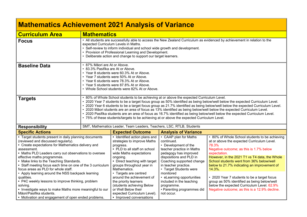| <b>Mathematics Achievement 2021 Analysis of Variance</b>                                                                                                                                                                                                                                                                                                                                                                                                                                                                                                                                                                                                                                    |                                                                                                                                                                                                                                                                                                                                                                                                                                                                                                                                                                                                                                                                                                        |                                                                                                                                                                                                                                                                                                                                                                                                                              |                                                                                                                                                                                                                                                                                                                                                             |                                                                                                                                                                                                                                                                                                                                                                                                                                                                                                                     |
|---------------------------------------------------------------------------------------------------------------------------------------------------------------------------------------------------------------------------------------------------------------------------------------------------------------------------------------------------------------------------------------------------------------------------------------------------------------------------------------------------------------------------------------------------------------------------------------------------------------------------------------------------------------------------------------------|--------------------------------------------------------------------------------------------------------------------------------------------------------------------------------------------------------------------------------------------------------------------------------------------------------------------------------------------------------------------------------------------------------------------------------------------------------------------------------------------------------------------------------------------------------------------------------------------------------------------------------------------------------------------------------------------------------|------------------------------------------------------------------------------------------------------------------------------------------------------------------------------------------------------------------------------------------------------------------------------------------------------------------------------------------------------------------------------------------------------------------------------|-------------------------------------------------------------------------------------------------------------------------------------------------------------------------------------------------------------------------------------------------------------------------------------------------------------------------------------------------------------|---------------------------------------------------------------------------------------------------------------------------------------------------------------------------------------------------------------------------------------------------------------------------------------------------------------------------------------------------------------------------------------------------------------------------------------------------------------------------------------------------------------------|
| <b>Curriculum Area</b>                                                                                                                                                                                                                                                                                                                                                                                                                                                                                                                                                                                                                                                                      | <b>Mathematics</b>                                                                                                                                                                                                                                                                                                                                                                                                                                                                                                                                                                                                                                                                                     |                                                                                                                                                                                                                                                                                                                                                                                                                              |                                                                                                                                                                                                                                                                                                                                                             |                                                                                                                                                                                                                                                                                                                                                                                                                                                                                                                     |
| <b>Focus</b>                                                                                                                                                                                                                                                                                                                                                                                                                                                                                                                                                                                                                                                                                |                                                                                                                                                                                                                                                                                                                                                                                                                                                                                                                                                                                                                                                                                                        | expected Curriculum Levels in Maths.<br>• Self-review to inform individual and school wide growth and development.<br>Provision of Professional Learning and Development.<br>Deliberate action and change to support our target learners.                                                                                                                                                                                    |                                                                                                                                                                                                                                                                                                                                                             | • All students are successfully able to access the New Zealand Curriculum as evidenced by achievement in relation to the                                                                                                                                                                                                                                                                                                                                                                                            |
| <b>Baseline Data</b>                                                                                                                                                                                                                                                                                                                                                                                                                                                                                                                                                                                                                                                                        | • 87% Māori are At or Above.<br>83.3% Pasifika are At or Above.<br>• Year 8 students were 60.3% At or Above.<br>• Year 7 students were 50% At or Above.<br>• Year 6 students were 78.3% At or Above.<br>• Year 5 students were 87.8% At or Above.<br>• Whole School students were 82% At or Above.                                                                                                                                                                                                                                                                                                                                                                                                     |                                                                                                                                                                                                                                                                                                                                                                                                                              |                                                                                                                                                                                                                                                                                                                                                             |                                                                                                                                                                                                                                                                                                                                                                                                                                                                                                                     |
| <b>Targets</b>                                                                                                                                                                                                                                                                                                                                                                                                                                                                                                                                                                                                                                                                              | 80% of Whole School students to be achieving at or above the expected Curriculum Level.<br>2020 Year 7 students to be a target focus group as 50% identified as being below/well below the expected Curriculum Level.<br>2020 Year 6 students to be a target focus group as 21.7% identified as being below/well below the expected Curriculum Level.<br>2020 Māori students are an area of focus as 13% identified as being below/well below the expected Curriculum Level.<br>2020 Pasifika students are an area of focus as 16.7% identified as being below/well below the expected Curriculum Level.<br>• 75% of these students/targets to be achieving at or above the expected Curriculum Level. |                                                                                                                                                                                                                                                                                                                                                                                                                              |                                                                                                                                                                                                                                                                                                                                                             |                                                                                                                                                                                                                                                                                                                                                                                                                                                                                                                     |
| <b>Responsibility</b>                                                                                                                                                                                                                                                                                                                                                                                                                                                                                                                                                                                                                                                                       |                                                                                                                                                                                                                                                                                                                                                                                                                                                                                                                                                                                                                                                                                                        | SMT, Mathematics Leader, Team Leaders, Teachers, LSC, RTLB, Students                                                                                                                                                                                                                                                                                                                                                         |                                                                                                                                                                                                                                                                                                                                                             |                                                                                                                                                                                                                                                                                                                                                                                                                                                                                                                     |
| <b>Specific Actions</b>                                                                                                                                                                                                                                                                                                                                                                                                                                                                                                                                                                                                                                                                     |                                                                                                                                                                                                                                                                                                                                                                                                                                                                                                                                                                                                                                                                                                        | <b>Expected Outcome</b>                                                                                                                                                                                                                                                                                                                                                                                                      | <b>Analysis of Variance</b>                                                                                                                                                                                                                                                                                                                                 |                                                                                                                                                                                                                                                                                                                                                                                                                                                                                                                     |
| • Target students present in daily planning documents<br>(reviewed and discussed regularly).<br>• Create expectations for Mathematics delivery and<br>assessment.<br>• Maths PLD Leaders carry out observations to oversee<br>effective maths programmes.<br>• Make links to the Teaching Standards.<br>• Staff meeting focus each time on one of the 3 curriculum<br>focus areas as PLD for whole staff.<br>• Apply learning around the NSS backpack learning<br>qualities.<br>• P4C weekly lessons to improve thinking, problem<br>solvina.<br>• Investigate ways to make Maths more meaningful to our<br>Māori/Pasifika students.<br>• Motivation and engagement of open ended problems. |                                                                                                                                                                                                                                                                                                                                                                                                                                                                                                                                                                                                                                                                                                        | • Identified action plans and<br>strategies to improve Maths<br>progress.<br>• PLD to all staff on school<br>wide Maths expectations<br>ongoing.<br>• Direct teaching with target<br>groups throughout year in<br>Mathematics.<br>• Targets are centred<br>around the achievement of<br>the priority learners<br>(students achieving Below<br>or Well Below their<br>expected Curriculum Level).<br>• Improved conversations | • CAAP plan for Maths<br>continued.<br>• Development of the<br>teacher practice in Maths<br>pedagogy has improved<br>dispositions and PLD in<br>Coaching supported change<br>in teacher practice.<br>• Target Students were<br>monitored<br>• eLearning opportunities<br>included in the teaching<br>programme.<br>• Parenting programmes did<br>not occur. | • 80% of Whole School students to be achieving<br>at or above the expected Curriculum Level.<br>78.3%<br>Negative outcome; as this is 1.7% below<br>expectation.<br>However, in the 2021 T1 vs T4 data, the Whole<br>School students went from 36% below/well<br>below to 21.7% indicating an improvement of<br>14.3%.<br>• 2020 Year 7 students to be a target focus<br>group as 50% identified as being below/well<br>below the expected Curriculum Level. 62.9%<br>Negative outcome; as this is a 12.9% decline. |